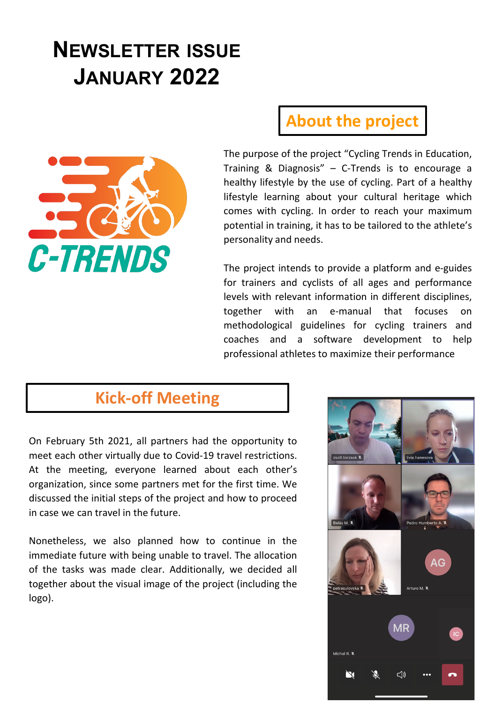# **NEWSLETTER ISSUE JANUARY 2022**



# **About the project**

The purpose of the project "Cycling Trends in Education, Training & Diagnosis" – C-Trends is to encourage a healthy lifestyle by the use of cycling. Part of a healthy lifestyle learning about your cultural heritage which comes with cycling. In order to reach your maximum potential in training, it has to be tailored to the athlete's personality and needs.

The project intends to provide a platform and e-guides for trainers and cyclists of all ages and performance levels with relevant information in different disciplines, together with an e-manual that focuses on methodological guidelines for cycling trainers and coaches and a software development to help professional athletes to maximize their performance

### **Kick-off Meeting**

On February 5th 2021, all partners had the opportunity to meet each other virtually due to Covid-19 travel restrictions. At the meeting, everyone learned about each other's organization, since some partners met for the first time. We discussed the initial steps of the project and how to proceed in case we can travel in the future.

Nonetheless, we also planned how to continue in the immediate future with being unable to travel. The allocation of the tasks was made clear. Additionally, we decided all together about the visual image of the project (including the logo).